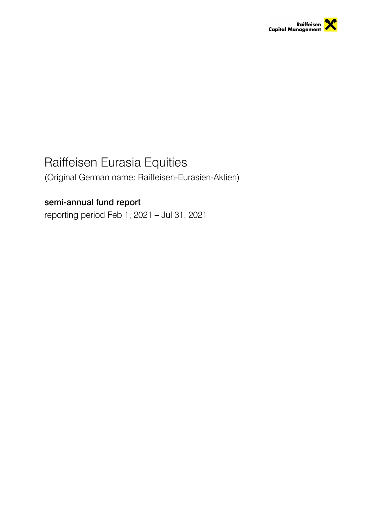

# Raiffeisen Eurasia Equities

(Original German name: Raiffeisen-Eurasien-Aktien)

# semi-annual fund report

reporting period Feb 1, 2021 – Jul 31, 2021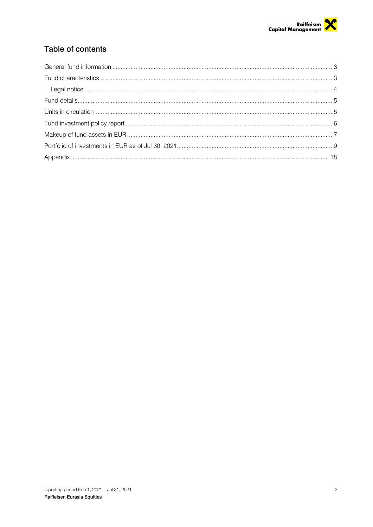

# Table of contents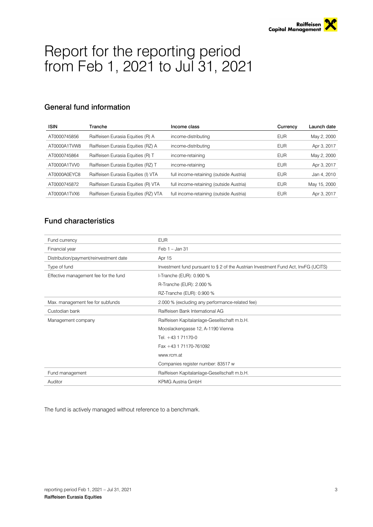# Report for the reporting period from Feb 1, 2021 to Jul 31, 2021

# <span id="page-2-0"></span>General fund information

| <b>ISIN</b>  | Tranche                              | Income class                            | Currency   | Launch date  |
|--------------|--------------------------------------|-----------------------------------------|------------|--------------|
| AT0000745856 | Raiffeisen Eurasia Equities (R) A    | income-distributing                     | <b>EUR</b> | May 2, 2000  |
| AT0000A1TVW8 | Raiffeisen Eurasia Equities (RZ) A   | income-distributing                     | <b>EUR</b> | Apr 3, 2017  |
| AT0000745864 | Raiffeisen Eurasia Equities (R) T    | income-retaining                        | <b>EUR</b> | May 2, 2000  |
| AT0000A1TVV0 | Raiffeisen Eurasia Equities (RZ) T   | income-retaining                        | <b>EUR</b> | Apr 3, 2017  |
| AT0000A0EYC8 | Raiffeisen Eurasia Equities (I) VTA  | full income-retaining (outside Austria) | <b>EUR</b> | Jan 4, 2010  |
| AT0000745872 | Raiffeisen Eurasia Equities (R) VTA  | full income-retaining (outside Austria) | <b>EUR</b> | May 15, 2000 |
| AT0000A1TVX6 | Raiffeisen Eurasia Equities (RZ) VTA | full income-retaining (outside Austria) | <b>EUR</b> | Apr 3, 2017  |

# <span id="page-2-1"></span>Fund characteristics

| Fund currency                          | <b>EUR</b>                                                                         |
|----------------------------------------|------------------------------------------------------------------------------------|
| Financial year                         | Feb 1 - Jan 31                                                                     |
| Distribution/payment/reinvestment date | Apr 15                                                                             |
| Type of fund                           | Investment fund pursuant to § 2 of the Austrian Investment Fund Act, InvFG (UCITS) |
| Effective management fee for the fund  | I-Tranche (EUR): 0.900 %                                                           |
|                                        | R-Tranche (EUR): 2.000 %                                                           |
|                                        | RZ-Tranche (EUR): 0.900 %                                                          |
| Max. management fee for subfunds       | 2.000 % (excluding any performance-related fee)                                    |
| Custodian bank                         | Raiffeisen Bank International AG                                                   |
| Management company                     | Raiffeisen Kapitalanlage-Gesellschaft m.b.H.                                       |
|                                        | Mooslackengasse 12, A-1190 Vienna                                                  |
|                                        | Tel. +43 1 71170-0                                                                 |
|                                        | Fax +43 1 71170-761092                                                             |
|                                        | www.rcm.at                                                                         |
|                                        | Companies register number: 83517 w                                                 |
| Fund management                        | Raiffeisen Kapitalanlage-Gesellschaft m.b.H.                                       |
| Auditor                                | <b>KPMG Austria GmbH</b>                                                           |

The fund is actively managed without reference to a benchmark.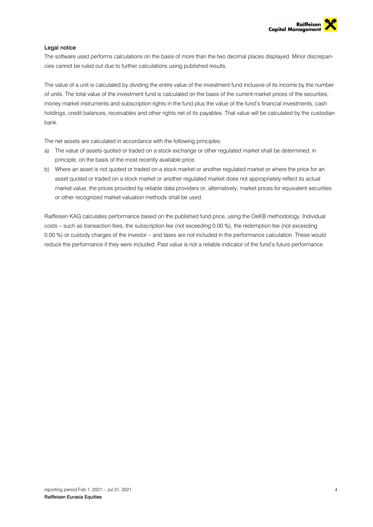

#### <span id="page-3-0"></span>Legal notice

The software used performs calculations on the basis of more than the two decimal places displayed. Minor discrepancies cannot be ruled out due to further calculations using published results.

The value of a unit is calculated by dividing the entire value of the investment fund inclusive of its income by the number of units. The total value of the investment fund is calculated on the basis of the current market prices of the securities, money market instruments and subscription rights in the fund plus the value of the fund's financial investments, cash holdings, credit balances, receivables and other rights net of its payables. That value will be calculated by the custodian bank.

The net assets are calculated in accordance with the following principles:

- a) The value of assets quoted or traded on a stock exchange or other regulated market shall be determined, in principle, on the basis of the most recently available price.
- b) Where an asset is not quoted or traded on a stock market or another regulated market or where the price for an asset quoted or traded on a stock market or another regulated market does not appropriately reflect its actual market value, the prices provided by reliable data providers or, alternatively, market prices for equivalent securities or other recognized market valuation methods shall be used.

Raiffeisen KAG calculates performance based on the published fund price, using the OeKB methodology. Individual costs – such as transaction fees, the subscription fee (not exceeding 0.00 %), the redemption fee (not exceeding 0.00 %) or custody charges of the investor – and taxes are not included in the performance calculation. These would reduce the performance if they were included. Past value is not a reliable indicator of the fund's future performance.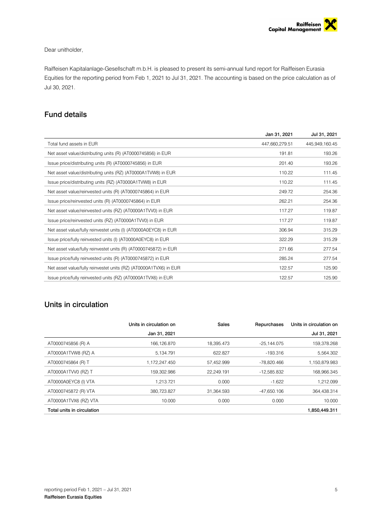#### Dear unitholder,

Raiffeisen Kapitalanlage-Gesellschaft m.b.H. is pleased to present its semi-annual fund report for Raiffeisen Eurasia Equities for the reporting period from Feb 1, 2021 to Jul 31, 2021. The accounting is based on the price calculation as of Jul 30, 2021.

## <span id="page-4-0"></span>Fund details

|                                                                   | Jan 31, 2021   | Jul 31, 2021   |
|-------------------------------------------------------------------|----------------|----------------|
| Total fund assets in EUR                                          | 447,660,279.51 | 445,949,160.45 |
| Net asset value/distributing units (R) (AT0000745856) in EUR      | 191.81         | 193.26         |
| Issue price/distributing units (R) (AT0000745856) in EUR          | 201.40         | 193.26         |
| Net asset value/distributing units (RZ) (AT0000A1TVW8) in EUR     | 110.22         | 111.45         |
| Issue price/distributing units (RZ) (AT0000A1TVW8) in EUR         | 110.22         | 111.45         |
| Net asset value/reinvested units (R) (AT0000745864) in EUR        | 249.72         | 254.36         |
| Issue price/reinvested units (R) (AT0000745864) in EUR            | 262.21         | 254.36         |
| Net asset value/reinvested units (RZ) (AT0000A1TVV0) in EUR       | 117.27         | 119.87         |
| Issue price/reinvested units (RZ) (AT0000A1TVV0) in EUR           | 117.27         | 119.87         |
| Net asset value/fully reinvestet units (I) (AT0000A0EYC8) in EUR  | 306.94         | 315.29         |
| Issue price/fully reinvested units (I) (AT0000A0EYC8) in EUR      | 322.29         | 315.29         |
| Net asset value/fully reinvestet units (R) (AT0000745872) in EUR  | 271.66         | 277.54         |
| Issue price/fully reinvested units (R) (AT0000745872) in EUR      | 285.24         | 277.54         |
| Net asset value/fully reinvestet units (RZ) (AT0000A1TVX6) in EUR | 122.57         | 125.90         |
| Issue price/fully reinvested units (RZ) (AT0000A1TVX6) in EUR     | 122.57         | 125.90         |

## <span id="page-4-1"></span>Units in circulation

|                            | Units in circulation on | <b>Sales</b> | Repurchases   | Units in circulation on |
|----------------------------|-------------------------|--------------|---------------|-------------------------|
|                            | Jan 31, 2021            |              |               | Jul 31, 2021            |
| AT0000745856 (R) A         | 166,126.870             | 18.395.473   | $-25,144.075$ | 159,378.268             |
| AT0000A1TVW8 (RZ) A        | 5,134.791               | 622.827      | $-193.316$    | 5.564.302               |
| AT0000745864 (R) T         | 1,172,247.450           | 57,452.999   | -78.820.466   | 1,150,879.983           |
| AT0000A1TVV0 (RZ) T        | 159.302.986             | 22.249.191   | $-12.585.832$ | 168.966.345             |
| AT0000A0EYC8 (I) VTA       | 1.213.721               | 0.000        | $-1.622$      | 1,212.099               |
| AT0000745872 (R) VTA       | 380.723.827             | 31.364.593   | $-47.650.106$ | 364.438.314             |
| AT0000A1TVX6 (RZ) VTA      | 10.000                  | 0.000        | 0.000         | 10.000                  |
| Total units in circulation |                         |              |               | 1,850,449.311           |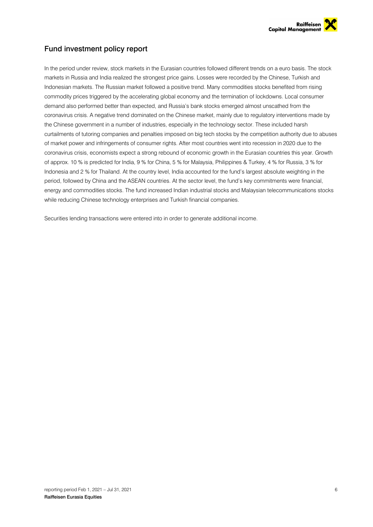

# <span id="page-5-0"></span>Fund investment policy report

In the period under review, stock markets in the Eurasian countries followed different trends on a euro basis. The stock markets in Russia and India realized the strongest price gains. Losses were recorded by the Chinese, Turkish and Indonesian markets. The Russian market followed a positive trend. Many commodities stocks benefited from rising commodity prices triggered by the accelerating global economy and the termination of lockdowns. Local consumer demand also performed better than expected, and Russia's bank stocks emerged almost unscathed from the coronavirus crisis. A negative trend dominated on the Chinese market, mainly due to regulatory interventions made by the Chinese government in a number of industries, especially in the technology sector. These included harsh curtailments of tutoring companies and penalties imposed on big tech stocks by the competition authority due to abuses of market power and infringements of consumer rights. After most countries went into recession in 2020 due to the coronavirus crisis, economists expect a strong rebound of economic growth in the Eurasian countries this year. Growth of approx. 10 % is predicted for India, 9 % for China, 5 % for Malaysia, Philippines & Turkey, 4 % for Russia, 3 % for Indonesia and 2 % for Thailand. At the country level, India accounted for the fund's largest absolute weighting in the period, followed by China and the ASEAN countries. At the sector level, the fund's key commitments were financial, energy and commodities stocks. The fund increased Indian industrial stocks and Malaysian telecommunications stocks while reducing Chinese technology enterprises and Turkish financial companies.

Securities lending transactions were entered into in order to generate additional income.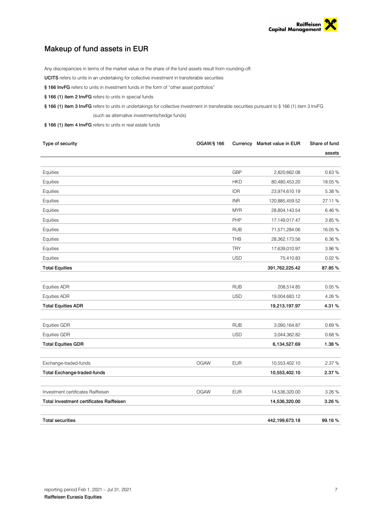

# <span id="page-6-0"></span>Makeup of fund assets in EUR

Any discrepancies in terms of the market value or the share of the fund assets result from rounding-off.

UCITS refers to units in an undertaking for collective investment in transferable securities

- § 166 InvFG refers to units in investment funds in the form of "other asset portfolios"
- § 166 (1) item 2 InvFG refers to units in special funds

§ 166 (1) item 3 InvFG refers to units in undertakings for collective investment in transferable securities pursuant to § 166 (1) item 3 InvFG (such as alternative investments/hedge funds)

§ 166 (1) item 4 InvFG refers to units in real estate funds

| Type of security                                | <b>OGAW/§ 166</b> |            | Currency Market value in EUR | Share of fund |
|-------------------------------------------------|-------------------|------------|------------------------------|---------------|
|                                                 |                   |            |                              | assets        |
|                                                 |                   |            |                              |               |
| Equities                                        |                   | <b>GBP</b> | 2,820,662.08                 | 0.63%         |
| Equities                                        |                   | <b>HKD</b> | 80,480,453.20                | 18.05%        |
| Equities                                        |                   | <b>IDR</b> | 23,974,610.19                | 5.38 %        |
| Equities                                        |                   | <b>INR</b> | 120,885,459.52               | 27.11 %       |
| Equities                                        |                   | <b>MYR</b> | 28,804,143.54                | 6.46 %        |
| Equities                                        |                   | PHP        | 17,149,017.47                | 3.85 %        |
| Equities                                        |                   | <b>RUB</b> | 71,571,284.06                | 16.05%        |
| Equities                                        |                   | <b>THB</b> | 28,362,173.56                | 6.36%         |
| Equities                                        |                   | <b>TRY</b> | 17,639,010.97                | 3.96 %        |
| Equities                                        |                   | <b>USD</b> | 75,410.83                    | 0.02%         |
| <b>Total Equities</b>                           |                   |            | 391,762,225.42               | 87.85%        |
|                                                 |                   |            |                              |               |
| <b>Equities ADR</b>                             |                   | <b>RUB</b> | 208,514.85                   | 0.05%         |
| <b>Equities ADR</b>                             |                   | <b>USD</b> | 19,004,683.12                | 4.26 %        |
| <b>Total Equities ADR</b>                       |                   |            | 19,213,197.97                | 4.31%         |
|                                                 |                   |            |                              |               |
| <b>Equities GDR</b>                             |                   | <b>RUB</b> | 3,090,164.87                 | 0.69%         |
| <b>Equities GDR</b>                             |                   | <b>USD</b> | 3,044,362.82                 | 0.68%         |
| <b>Total Equities GDR</b>                       |                   |            | 6,134,527.69                 | 1.38%         |
|                                                 |                   |            |                              |               |
| Exchange-traded-funds                           | <b>OGAW</b>       | <b>EUR</b> | 10,553,402.10                | 2.37 %        |
| Total Exchange-traded-funds                     |                   |            | 10,553,402.10                | 2.37%         |
|                                                 |                   |            |                              |               |
| Investment certificates Raiffeisen              | <b>OGAW</b>       | <b>EUR</b> | 14,536,320.00                | 3.26 %        |
| <b>Total Investment certificates Raiffeisen</b> |                   |            | 14,536,320.00                | 3.26%         |
|                                                 |                   |            |                              |               |
| <b>Total securities</b>                         |                   |            | 442,199,673.18               | 99.16%        |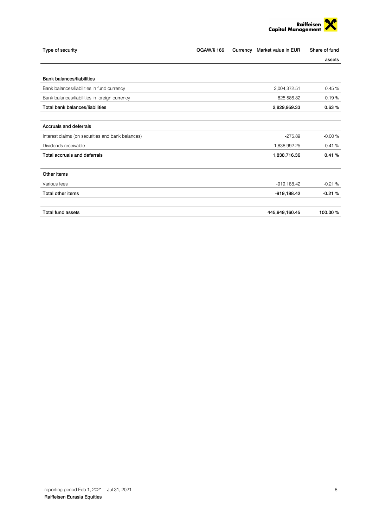

| Type of security                                  | OGAW/§ 166 | Currency | Market value in EUR | Share of fund |
|---------------------------------------------------|------------|----------|---------------------|---------------|
|                                                   |            |          |                     | assets        |
| <b>Bank balances/liabilities</b>                  |            |          |                     |               |
| Bank balances/liabilities in fund currency        |            |          | 2,004,372.51        | 0.45%         |
| Bank balances/liabilities in foreign currency     |            |          | 825,586.82          | 0.19%         |
| Total bank balances/liabilities                   |            |          | 2,829,959.33        | 0.63%         |
| Accruals and deferrals                            |            |          |                     |               |
| Interest claims (on securities and bank balances) |            |          | $-275.89$           | $-0.00%$      |
| Dividends receivable                              |            |          | 1,838,992.25        | 0.41%         |
| Total accruals and deferrals                      |            |          | 1,838,716.36        | 0.41%         |
| Other items                                       |            |          |                     |               |
| Various fees                                      |            |          | $-919,188.42$       | $-0.21%$      |
| Total other items                                 |            |          | -919,188.42         | $-0.21%$      |
| <b>Total fund assets</b>                          |            |          | 445,949,160.45      | 100.00%       |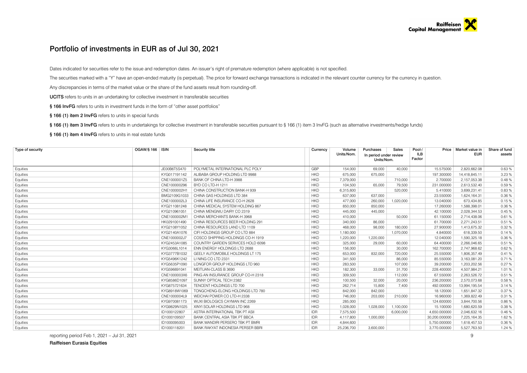### Portfolio of investments in EUR as of Jul 30, 2021

Dates indicated for securities refer to the issue and redemption dates. An issuer's right of premature redemption (where applicable) is not specified.

The securities marked with a "Y" have an open-ended maturity (is perpetual). The price for forward exchange transactions is indicated in the relevant counter currency for the currency in question.

Any discrepancies in terms of the market value or the share of the fund assets result from rounding-off.

UCITS refers to units in an undertaking for collective investment in transferable securities

§ 166 InvFG refers to units in investment funds in the form of "other asset portfolios"

§ 166 (1) item 2 InvFG refers to units in special funds

§ 166 (1) item 3 InvFG refers to units in undertakings for collective investment in transferable securities pursuant to § 166 (1) item 3 InvFG (such as alternative investments/hedge funds)

§ 166 (1) item 4 InvFG refers to units in real estate funds

<span id="page-8-0"></span>

| Type of security | OGAW/§ 166   ISIN |              | <b>Security title</b>             | Currency   | Volume     | Purchases                            | Sales     | Pool-/        |               | Price   Market value in | Share of fund |
|------------------|-------------------|--------------|-----------------------------------|------------|------------|--------------------------------------|-----------|---------------|---------------|-------------------------|---------------|
|                  |                   |              |                                   |            | Units/Nom. | In period under review<br>Units/Nom. |           | ILB<br>Factor |               | EUR                     | assets        |
| Equities         |                   | JE00B6T5S470 | POLYMETAL INTERNATIONAL PLC POLY  | GBP        | 154.000    | 69.000                               | 40.000    |               | 15.575000     | 2.820.662.08            | 0.63%         |
| Equities         |                   | KYG017191142 | ALIBABA GROUP HOLDING LTD 9988    | <b>HKD</b> | 675,000    | 675,000                              |           |               | 197.300000    | 14,418,845.11           | 3.23%         |
| Equities         |                   | CNE1000001Z5 | BANK OF CHINA LTD-H 3988          | <b>HKD</b> | 7,379,000  |                                      | 710,000   |               | 2.700000      | 2,157,053.38            | 0.48%         |
| Equities         |                   | CNE100000296 | BYD CO LTD-H 1211                 | <b>HKD</b> | 104,500    | 65.000                               | 79,500    |               | 231.000000    | 2,613,532.40            | 0.59%         |
| Equities         |                   | CNE1000002H1 | CHINA CONSTRUCTION BANK-H 939     | <b>HKD</b> | 6,315,600  |                                      | 520,000   |               | 5.410000      | 3,699,231.41            | 0.83%         |
| Equities         |                   | BMG2109G1033 | CHINA GAS HOLDINGS LTD 384        | <b>HKD</b> | 637,000    | 637,000                              |           |               | 23.550000     | 1,624,164.31            | 0.36%         |
| Equities         |                   | CNE1000002L3 | CHINA LIFE INSURANCE CO-H 2628    | <b>HKD</b> | 477.000    | 260,000                              | 1.020.000 |               | 13.040000     | 673,434.85              | 0.15%         |
| Equities         |                   | KYG211081248 | CHINA MEDICAL SYSTEM HOLDING 867  | <b>HKD</b> | 850,000    | 850,000                              |           |               | 17.260000     | 1,588,398.01            | 0.36%         |
| Equities         |                   | KYG210961051 | CHINA MENGNIU DAIRY CO 2319       | <b>HKD</b> | 445,000    | 445,000                              |           |               | 42.100000     | 2,028,344.53            | 0.45 %        |
| Equities         |                   | CNE1000002M  | CHINA MERCHANTS BANK-H 3968       | <b>HKD</b> | 410,000    |                                      | 50,000    |               | 61.150000     | 2,714,438.06            | 0.61%         |
| Equities         |                   | HK0291001490 | CHINA RESOURCES BEER HOLDING 291  | <b>HKD</b> | 340,000    | 86,000                               |           |               | 61.700000     | 2,271,243.51            | 0.51%         |
| Equities         |                   | KYG2108Y1052 | CHINA RESOURCES LAND LTD 1109     | <b>HKD</b> | 468,000    | 98,000                               | 180,000   |               | 27.900000     | 1,413,675.32            | 0.32%         |
| Equities         |                   | KYG2140A1076 | CIFI HOLDINGS GROUP CO LTD 884    | <b>HKD</b> | 1,180,000  |                                      | 1,070,000 |               | 4.840000      | 618,339.50              | 0.14%         |
| Equities         |                   | CNE1000002J7 | COSCO SHIPPING HOLDINGS CO-H 1919 | <b>HKD</b> | 1,220,000  | 1,220,000                            |           |               | 12.040000     | 1,590,325.18            | 0.36%         |
| Equities         |                   | KYG2453A1085 | COUNTRY GARDEN SERVICES HOLD 6098 | <b>HKD</b> | 325,000    | 29,000                               | 60,000    |               | 64.400000     | 2,266,046.65            | 0.51%         |
| Equities         |                   | KYG3066L1014 | ENN ENERGY HOLDINGS LTD 2688      | <b>HKD</b> | 156,000    |                                      | 30,000    |               | 162.700000    | 2,747,968.62            | 0.62%         |
| Equities         |                   | KYG3777B1032 | GEELY AUTOMOBILE HOLDINGS LT 175  | <b>HKD</b> | 653,000    | 832,000                              | 720,000   |               | 25.550000     | 1.806.357.49            | 0.41%         |
| Equities         |                   | KYG5496K1242 | LINING COLTD 2331                 | <b>HKD</b> | 341,500    |                                      | 86,000    |               | 85.550000     | 3,163,081.20            | 0.71%         |
| Equities         |                   | KYG5635P1090 | LONGFOR GROUP HOLDINGS LTD 960    | <b>HKD</b> | 283,500    |                                      | 107,000   |               | 39,200000     | 1,203,202.56            | 0.27%         |
| Equities         |                   | KYG596691041 | MEITUAN-CLASS B 3690              | <b>HKD</b> | 182,300    | 33,000                               | 31,700    |               | 228.400000    | 4,507,984.21            | 1.01%         |
| Equities         |                   | CNE1000003X6 | PING AN INSURANCE GROUP CO-H 2318 | <b>HKD</b> | 309,500    |                                      | 112,000   |               | 67.550000     | 2,263,526.72            | 0.51%         |
| Equities         |                   | KYG8586D1097 | SUNNY OPTICAL TECH 2382           | <b>HKD</b> | 100,500    | 32,000                               | 20,000    |               | 236.200000    | 2,570,073.68            | 0.58%         |
| Equities         |                   | KYG875721634 | TENCENT HOLDINGS LTD 700          | <b>HKD</b> | 262.714    | 15,800                               | 7.400     |               | 492.000000    | 13.994.195.54           | 3.14%         |
| Equities         |                   | KYG8918W1069 | TONGCHENG-ELONG HOLDINGS LTD 780  | <b>HKD</b> | 842,000    | 842,000                              |           |               | 18.120000     | 1,651,847.32            | 0.37%         |
| Equities         |                   | CNE1000004L9 | WEICHAI POWER CO LTD-H 2338       | <b>HKD</b> | 746,000    | 203,000                              | 210,000   |               | 16.960000     | 1,369,822.49            | 0.31%         |
| Equities         |                   | KYG970081173 | WUXI BIOLOGICS CAYMAN INC 2269    | <b>HKD</b> | 285,000    |                                      |           |               | 124.600000    | 3,844,700.56            | 0.86%         |
| Equities         |                   | KYG9829N1025 | XINYI SOLAR HOLDINGS LTD 968      | <b>HKD</b> | 1,028,000  | 1,028,000                            | 1,100,000 |               | 15.100000     | 1,680,620.59            | 0.38%         |
| Equities         |                   | ID1000122807 | ASTRA INTERNATIONAL TBK PT ASII   | <b>IDR</b> | 7,575,500  |                                      | 6.000.000 |               | 4.650.000000  | 2.046.632.16            | 0.46%         |
| Equities         |                   | ID1000109507 | BANK CENTRAL ASIA TBK PT BBCA     | <b>IDR</b> | 4.117.800  | 1,000,000                            |           |               | 30,200.000000 | 7,225,164.35            | 1.62%         |
| Equities         |                   | ID1000095003 | BANK MANDIRI PERSERO TBK PT BMRI  | <b>IDR</b> | 4,844,600  |                                      |           |               | 5,750.000000  | 1,618,457.53            | 0.36%         |
| Equities         |                   | ID1000118201 | BANK RAKYAT INDONESIA PERSER BBRI | <b>IDR</b> | 25,236,700 | 3.600.000                            |           |               | 3.770.000000  | 5.527.763.50            | 1.24 %        |

reporting period Feb 1, 2021 – Jul 31, 2021 9

Raiffeisen Eurasia Equities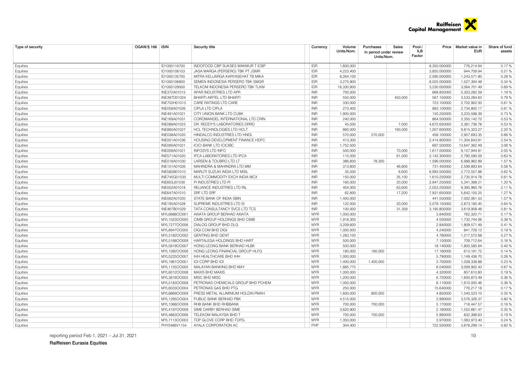

| Type of security | <b>OGAW/§ 166   ISIN</b> | Security title                     | Currency   | Volume<br>Units/Nom. | Purchases<br>In period under review<br>Units/Nom. | Sales   | Pool-/<br>ILB<br>Factor | Price   Market value in<br>EUR | Share of fund<br>assets |
|------------------|--------------------------|------------------------------------|------------|----------------------|---------------------------------------------------|---------|-------------------------|--------------------------------|-------------------------|
| Equities         | ID1000116700             | INDOFOOD CBP SUKSES MAKMUR TICBP   | <b>IDR</b> | 1,600,000            |                                                   |         | 8,350.000000            | 776,214.94                     | 0.17%                   |
| Equities         | ID1000108103             | JASA MARGA (PERSERO) TBK PT JSMR   | <b>IDR</b> | 4.223.400            |                                                   |         | 3.850.000000            | 944.709.94                     | 0.21%                   |
| Equities         | ID1000135700             | MITRA KELUARGA KARYASEHAT TB MIKA  | <b>IDR</b> | 8,264,100            |                                                   |         | 2,590.000000            | 1,243,571.80                   | 0.28%                   |
| Equities         | ID1000106800             | SEMEN INDONESIA PERSERO TBK SMGR   | <b>IDR</b> | 3,275,900            |                                                   |         | 8,025.000000            | 1,527,394.48                   | 0.34 %                  |
| Equities         | ID1000129000             | TELKOM INDONESIA PERSERO TBK TLKM  | <b>IDR</b> | 16,330,900           |                                                   |         | 3,230.000000            | 3,064,701.49                   | 0.69%                   |
| Equities         | INE372A01015             | APAR INDUSTRIES LTD APR            | <b>INR</b> | 700,000              |                                                   |         | 668.850000              | 5,303,282.59                   | 1.19%                   |
| Equities         | INE397D01024             | BHARTI AIRTEL LTD BHARTI           | <b>INR</b> | 550,000              |                                                   | 450.000 | 567.150000              | 3,533,284.63                   | 0.79%                   |
| Equities         | INE752H01013             | CARE RATINGS LTD CARE              | <b>INR</b> | 330,000              |                                                   |         | 723.100000              | 2,702,902.00                   | 0.61%                   |
| Equities         | INE059A01026             | CIPLA LTD CIPLA                    | <b>INR</b> | 273,400              |                                                   |         | 883.100000              | 2,734,805.17                   | 0.61%                   |
| Equities         | INE491A01021             | CITY UNION BANK LTD CUBK           | <b>INR</b> | 1,900,000            |                                                   |         | 150.250000              | 3,233,598.39                   | 0.73%                   |
| Equities         | INE169A01031             | COROMANDEL INTERNATIONAL LTD CRIN  | <b>INR</b> | 240,000              |                                                   |         | 864.500000              | 2,350,142.72                   | 0.53%                   |
| Equities         | INE089A01023             | DR. REDDY'S LABORATORIES DRRD      | <b>INR</b> | 45,000               |                                                   | 7,000   | 4,672.650000            | 2,381,736.78                   | 0.53%                   |
| Equities         | INE860A01027             | HCL TECHNOLOGIES LTD HCLT          | <b>INR</b> | 860,000              |                                                   | 160,000 | 1,007.600000            | 9,815,323.27                   | 2.20%                   |
| Equities         | INE038A01020             | HINDALCO INDUSTRIES LTD HNDL       | <b>INR</b> | 570,000              | 570,000                                           |         | 458.100000              | 2,957,693.35                   | 0.66%                   |
| Equities         | INE001A01036             | HOUSING DEVELOPMENT FINANCE HDFC   | <b>INR</b> | 413,300              |                                                   |         | 2,414.800000            | 11,304,843.91                  | 2.54 %                  |
| Equities         | INE090A01021             | <b>ICICI BANK LTD ICICIBC</b>      | <b>INR</b> | 1,752,500            |                                                   |         | 687.500000              | 13,647,362.49                  | 3.06%                   |
| Equities         | INE009A01021             | <b>INFOSYS LTD INFO</b>            | <b>INR</b> | 500,000              |                                                   | 70,000  | 1,617.000000            | 9,157,944.81                   | 2.05%                   |
| Equities         | INE571A01020             | IPCA LABORATORIES LTD IPCA         | <b>INR</b> | 115,000              |                                                   | 61,000  | 2,142.300000            | 2,790,590.59                   | 0.63%                   |
| Equities         | INE018A01030             | LARSEN & TOUBRO LTD LT             | <b>INR</b> | 386,600              | 78,300                                            |         | 1,596.000000            | 6,988,962.89                   | 1.57%                   |
| Equities         | INE101A01026             | MAHINDRA & MAHINDRA LTD MM         | <b>INR</b> | 313,800              |                                                   | 46,800  | 731.450000              | 2,599,893.64                   | 0.58%                   |
| Equities         | INE585B01010             | MARUTI SUZUKI INDIA LTD MSIL       | <b>INR</b> | 35,000               |                                                   | 6,600   | 6,993.500000            | 2,772,557.88                   | 0.62%                   |
| Equities         | INE745G01035             | MULTI COMMODITY EXCH INDIA MCX     | <b>INR</b> | 150,000              |                                                   | 35,100  | 1,610.250000            | 2,735,914.78                   | 0.61%                   |
| Equities         | INE603J01030             | PI INDUSTRIES LTD PI               | <b>INR</b> | 160,000              |                                                   | 20,000  | 2.947.250000            | 5,341,398.21                   | 1.20%                   |
| Equities         | INE002A01018             | RELIANCE INDUSTRIES LTD RIL        | <b>INR</b> | 404,000              |                                                   | 63,600  | 2,053.250000            | 9,395,960.76                   | 2.11%                   |
| Equities         | INE647A01010             | SRF LTD SRF                        | <b>INR</b> | 62,800               |                                                   | 17,200  | 7,931.650000            | 5,642,105.25                   | 1.27%                   |
| Equities         | INE062A01020             | STATE BANK OF INDIA SBIN           | <b>INR</b> | 1,400,000            |                                                   |         | 441.550000              | 7,002,061.53                   | 1.57%                   |
| Equities         | INE195A01028             | SUPREME INDUSTRIES LTD SI          | <b>INR</b> | 122,000              |                                                   | 20,000  | 2,079.150000            | 2,873,185.40                   | 0.64%                   |
| Equities         | INE467B01029             | TATA CONSULTANCY SVCS LTD TCS      | <b>INR</b> | 100,000              |                                                   | 31,359  | 3,195.800000            | 3,619,908.48                   | 0.81%                   |
| Equities         | MYL6888OO001             | AXIATA GROUP BERHAD AXIATA         | <b>MYR</b> | 1,000,000            |                                                   |         | 3.840000                | 762.320.71                     | 0.17%                   |
| Equities         | MYL1023OO000             | CIMB GROUP HOLDINGS BHD CIMB       | <b>MYR</b> | 1,918,300            |                                                   |         | 4.550000                | 1,732,744.06                   | 0.39%                   |
| Equities         | MYL7277OO006             | DIALOG GROUP BHD DLG               | <b>MYR</b> | 3,209,600            |                                                   |         | 2.840000                | 1,809,571.49                   | 0.41%                   |
| Equities         | MYL6947OO005             | DIGI.COM BHD DIGI                  | <b>MYR</b> | 1,000,000            |                                                   |         | 4.240000                | 841,729.12                     | 0.19%                   |
| Equities         | MYL3182OO002             | <b>GENTING BHD GENT</b>            | <b>MYR</b> | 1,283,100            |                                                   |         | 4.780000                | 1,217,572.68                   | 0.27%                   |
| Equities         | MYL5168OO009             | HARTALEGA HOLDINGS BHD HART        | <b>MYR</b> | 500,000              |                                                   |         | 7.150000                | 709,712.64                     | 0.16%                   |
| Equities         | MYL5819OO007             | HONG LEONG BANK BERHAD HLBK        | <b>MYR</b> | 500,000              |                                                   |         | 18.140000               | 1,800,585.64                   | 0.40%                   |
| Equities         | MYL1082OO006             | HONG LEONG FINANCIAL GROUP HLFG    | <b>MYR</b> | 180,000              | 180,000                                           |         | 17.160000               | 613,191.72                     | 0.14%                   |
| Equities         | MYL5225OO007             | IHH HEALTHCARE BHD IHH             | <b>MYR</b> | 1,000,000            |                                                   |         | 5.790000                | 1,149,436.70                   | 0.26%                   |
| Equities         | MYL1961OO001             | <b>IOI CORP BHD IOI</b>            | <b>MYR</b> | 1,400,000            | 1,400,000                                         |         | 3.700000                | 1,028,338.88                   | 0.23%                   |
| Equities         | MYL1155OO000             | MALAYAN BANKING BHD MAY            | <b>MYR</b> | 1,885,775            |                                                   |         | 8.040000                | 3,009,902.43                   | 0.67%                   |
| Equities         | MYL6012OO008             | MAXIS BHD MAXIS                    | <b>MYR</b> | 1,000,000            |                                                   |         | 4.320000                | 857,610.80                     | 0.19%                   |
| Equities         | MYL3816OO005             | MISC BHD MISC                      | <b>MYR</b> | 1,200,000            |                                                   |         | 6.720000                | 1,600,873.49                   | 0.36%                   |
| Equities         | MYL5183OO008             | PETRONAS CHEMICALS GROUP BHD PCHEM | <b>MYR</b> | 1,000,000            |                                                   |         | 8.110000                | 1,610,005.46                   | 0.36%                   |
| Equities         | MYL6033OO004             | PETRONAS GAS BHD PTG               | <b>MYR</b> | 250,000              |                                                   |         | 15.640000               | 776.217.18                     | 0.17%                   |
| Equities         | MYL8869OO009             | PRESS METAL ALUMINIUM HOLDIN PMAH  | <b>MYR</b> | 1,600,000            | 800,000                                           |         | 4.850000                | 1,540,523.10                   | 0.35%                   |
| Equities         | MYL1295OO004             | PUBLIC BANK BERHAD PBK             | <b>MYR</b> | 4,515,000            |                                                   |         | 3.990000                | 3,576,326.37                   | 0.80%                   |
| Equities         | MYL1066OO009             | RHB BANK BHD RHBBANK               | <b>MYR</b> | 700,000              | 700,000                                           |         | 5.170000                | 718,447.57                     | 0.16%                   |
| Equities         | MYL4197OO009             | SIME DARBY BERHAD SIME             | <b>MYR</b> | 3,620,900            |                                                   |         | 2.160000                | 1,552,661.47                   | 0.35 %                  |
| Equities         | MYL4863OO006             | TELEKOM MALAYSIA BHD T             | <b>MYR</b> | 700,000              | 700,000                                           |         | 5.990000                | 832,398.63                     | 0.19%                   |
| Equities         | MYL7113OO003             | TOP GLOVE CORP BHD TOPG            | <b>MYR</b> | 1,350,000            |                                                   |         | 3.970000                | 1,063,973.40                   | 0.24%                   |
| Equities         | PHY0486V1154             | AYALA CORPORATION AC               | PHP        | 304.400              |                                                   |         | 722,500000              | 3,678,299.14                   | 0.82%                   |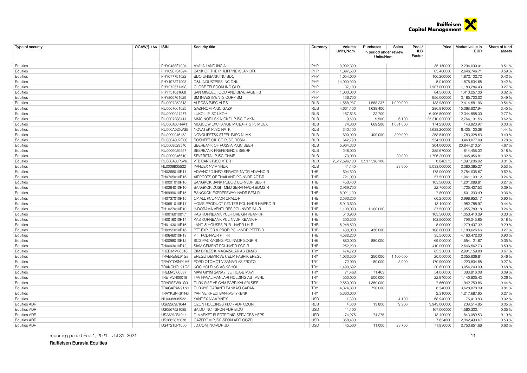

| Type of security                           | <b>OGAW/§ 166   ISIN</b> |              | <b>Security title</b>                            | Currency   | Volume<br>Units/Nom. | Purchases<br>In period under review<br>Units/Nom. | Sales          | Pool-/<br>ILB<br>Factor   | Price   Market value in<br>EUR | Share of fund<br>assets |
|--------------------------------------------|--------------------------|--------------|--------------------------------------------------|------------|----------------------|---------------------------------------------------|----------------|---------------------------|--------------------------------|-------------------------|
| Equities                                   |                          | PHY0488F1004 | AYALA LAND INC ALI                               | PHP        | 3,902,300            |                                                   |                | 35.150000                 | 2,294,090.41                   | 0.51%                   |
| Equities                                   |                          | PHY0967S1694 | BANK OF THE PHILIPPINE ISLAN BPI                 | PHP        | 1,897,500            |                                                   |                | 83.400000                 | 2,646,746.71                   | 0.59%                   |
| Equities                                   |                          | PHY077751022 | BDO UNIBANK INC BDO                              | PHP        | 1,054,000            |                                                   |                | 106.200000                | 1,872,102.72                   | 0.42%                   |
| Equities                                   |                          | PHY1973T1008 | D&L INDUSTRIES INC DNL                           | PHP        | 14,000,000           |                                                   |                | 8.010000                  | 1,875,534.68                   | 0.42%                   |
| Equities                                   |                          | PHY272571498 | GLOBE TELECOM INC GLO                            | PHP        | 37,100               |                                                   |                | 1,907.000000              | 1,183,284.43                   | 0.27%                   |
| Equities                                   |                          | PHY7510J1668 | SAN MIGUEL FOOD AND BEVERAGE FB                  | PHP        | 1,000,000            |                                                   |                | 84.500000                 | 1,413,257.36                   | 0.32%                   |
| Equities                                   |                          | PHY806761029 | SM INVESTMENTS CORP SM                           | PHP        | 136,700              |                                                   |                | 956.000000                | 2,185,702.02                   | 0.49%                   |
| Equities                                   |                          | RU0007252813 | ALROSA PJSC ALRS                                 | <b>RUB</b> | 1,568,237            | 1,568,237                                         | 1,000,000      | 133.930000                | 2,414,581.96                   | 0.54 %                  |
| Equities                                   |                          | RU0007661625 | <b>GAZPROM PJSC GAZP</b>                         | <b>RUB</b> | 4,661,100            | 1,638,400                                         |                | 286.810000                | 15,368,627.94                  | 3.45 %                  |
| Equities                                   |                          | RU0009024277 | LUKOIL PJSC LKOH                                 | <b>RUB</b> | 167,615              | 22,700                                            |                | 6,406.500000              | 12,344,858.00                  | 2.77%                   |
| Equities                                   |                          | RU0007288411 | MMC NORILSK NICKEL PJSC GMKN                     | <b>RUB</b> | 9,500                | 9,500                                             | 6,100          | 25,310.000000             | 2,764,191.56                   | 0.62%                   |
| Equities                                   |                          | RU000A0JR4A1 | MOSCOW EXCHANGE MICEX-RTS PJ MOEX                | <b>RUB</b> | 74,300               | 669,200                                           | 1,031,600      | 174.230000                | 148,820.97                     | 0.03%                   |
| Equities                                   |                          | RU000A0DKVS5 | NOVATEK PJSC NVTK                                | <b>RUB</b> | 340,100              |                                                   |                | 1,638.200000              | 6,405,100.38                   | 1.44 %                  |
| Equities                                   |                          | RU0009046452 | NOVOLIPETSK STEEL PJSC NLMK                      | <b>RUB</b> | 600,000              | 400,000                                           | 300,000        | 258.540000                | 1,783,328.63                   | 0.40%                   |
| Equities                                   |                          | RU000A0J2Q06 | ROSNEFT OIL CO PJSC ROSN                         | <b>RUB</b> | 542,790              |                                                   |                | 554.500000                | 3,460,077.09                   | 0.78%                   |
| Equities                                   |                          | RU0009029540 | SBERBANK OF RUSSIA PJSC SBER                     | <b>RUB</b> | 5,964,300            |                                                   |                | 304.000000                | 20,844,210.51                  | 4.67%                   |
| Equities                                   |                          | RU0009029557 | SBERBANK-PREFERENCE SBERP                        | <b>RUB</b> | 248,000              |                                                   |                | 285.670000                | 814,458.02                     | 0.18%                   |
| Equities                                   |                          | RU0009046510 | SEVERSTAL PJSC CHMF                              | <b>RUB</b> | 70,000               |                                                   | 30,000         | 1,796.200000              | 1,445,456.81                   | 0.32%                   |
| Equities                                   |                          | RU000A0JP5V6 | <b>VTB BANK PJSC VTBR</b>                        | <b>RUB</b> |                      | 2,517,596,100 2,517,596,100                       |                | 0.048275                  | 1,397,206.92                   | 0.31%                   |
| Equities                                   |                          | NL0009805522 | YANDEX NV-A YNDX                                 | <b>RUB</b> | 41,140               |                                                   | 28,900         | 5,033.000000              | 2,380,365.27                   | 0.53%                   |
| Equities                                   |                          | TH0268010R11 | ADVANCED INFO SERVICE-NVDR ADVANC-R              | THB        | 604,500              |                                                   |                | 178.000000                | 2,754,035.67                   | 0.62%                   |
| Equities                                   |                          | TH0765010R16 | AIRPORTS OF THAILAND PC-NVDR AOT-R               | THB        | 721,000              |                                                   |                | 57.500000                 | 1,061,100.12                   | 0.24%                   |
| Equities                                   |                          | TH0001010R16 | BANGKOK BANK PUBLIC CO-NVDR BBL-R                | THB        | 453,400              |                                                   |                | 103.500000                | 1,201,088.81                   | 0.27%                   |
| Equities                                   |                          | TH0264010R10 | BANGKOK DUSIT MED SERVI-NVDR BDMS-R              | <b>THB</b> | 2,969,700            |                                                   |                | 22.700000                 | 1,725,407.53                   | 0.39%                   |
| Equities                                   |                          | TH6999010R15 | BANGKOK EXPRESSWAY-NVDR BEM-R                    | THB        | 8,021,100            |                                                   |                | 7.800000                  | 1,601,333.49                   | 0.36%                   |
| Equities                                   |                          | TH0737010R15 | CP ALL PCL-NVDR CPALL-R                          | THB        | 2,593,200            |                                                   |                | 60.250000                 | 3,998,953.17                   | 0.90%                   |
| Equities                                   |                          | TH0661010R17 | HOME PRODUCT CENTER PCL-NVDR HMPRO-R             | THB        | 5.913.600            |                                                   |                | 13.100000                 | 1,982,788.97                   | 0.44%                   |
| Equities                                   |                          | TH1027010R10 | INDORAMA VENTURES PCL-NVDR IVL-R                 | THB        | 1,100,000            | 1,100,000                                         |                | 37.500000                 | 1,055,789.18                   | 0.24%                   |
| Equities                                   |                          | TH0016010017 | KASIKORNBANK PCL-FOREIGN KBANK/F                 | <b>THB</b> | 510,900              |                                                   |                | 103.500000                | 1,353,410.39                   | 0.30%                   |
| Equities                                   |                          | TH0016010R14 | KASIKORNBANK PCL-NVDR KBANK-R                    | THB        | 300,500              |                                                   |                | 103.500000                | 796,045.85                     | 0.18%                   |
| Equities                                   |                          | TH0143010R16 | LAND & HOUSES PUB - NVDR LH-R                    | THB        | 6,248,500            |                                                   |                | 8.000000                  | 1,279,437.32                   | 0.29%                   |
| Equities                                   |                          | TH0355010R16 | PTT EXPLOR & PROD PCL-NVDR PTTEP-R               | THB        | 430,000              | 430.000                                           |                | 108.000000                | 1,188,626.66                   | 0.27%                   |
| Equities                                   |                          | TH0646010R18 | PTT PCL-NVDR PTT-R                               | THB        | 4,582,200            |                                                   |                | 35.500000                 | 4,163,472.00                   | 0.93%                   |
| Equities                                   |                          | TH0098010R12 | SCG PACKAGING PCL-NVDR SCGP-R                    | <b>THB</b> | 880,000              | 880,000                                           |                | 69.000000                 | 1,554,121.67                   | 0.35%                   |
| Equities                                   |                          | TH0003010R12 | SIAM CEMENT PCL-NVDR SCC-R                       | THB        | 252,200              |                                                   |                | 410.000000                | 2,646,562.73                   | 0.59%                   |
| Equities                                   |                          | TREBIMM00018 | BIM BIRLESIK MAGAZALAR AS BIMAS                  | <b>TRY</b> | 474,728              |                                                   |                | 63.350000                 | 2,991,159.88                   | 0.67%                   |
| Equities                                   |                          | TRAEREGL91G3 | EREGLI DEMIR VE CELIK FABRIK EREGL               | <b>TRY</b> | 1,033,500            | 250,000                                           | 1,100,000      | 20.000000                 | 2,055,836.81                   | 0.46%                   |
| Equities                                   |                          | TRAOTOSN91H6 | FORD OTOMOTIV SANAYI AS FROTO                    | <b>TRY</b> | 72,000               | 80,000                                            | 8,000          | 170.900000                | 1,223,834.58                   | 0.27%                   |
| Equities                                   |                          | TRAKCHOL91Q8 | KOC HOLDING AS KCHOL                             | <b>TRY</b> | 1,490,692            |                                                   |                | 20.600000                 | 3,054,240.99                   | 0.68%                   |
| Equities                                   |                          | TREMAVI00037 | MAVI GIYIM SANAYI VE TICA-B MAVI                 | <b>TRY</b> | 71,463               | 71,463                                            |                | 54.000000                 | 383,816.08                     | 0.09%                   |
| Equities                                   |                          | TRETAVH00018 | TAV HAVALIMANLARI HOLDING AS TAVHL               | <b>TRY</b> | 500,000              | 500,000                                           |                | 22.940000                 | 1,140,805.43                   | 0.26%                   |
| Equities                                   |                          | TRASISEW91Q3 | TURK SISE VE CAM FABRIKALARI SISE                | <b>TRY</b> | 2,550,000            | 1,350,000                                         |                | 7.660000                  | 1,942,750.86                   | 0.44%                   |
| Equities                                   |                          | TRAGARAN91N1 | TURKIYE GARANTI BANKASI GARAN                    | <b>TRY</b> | 4,374,800            | 750,000                                           |                | 8.340000                  | 3,628,878.39                   | 0.81%                   |
|                                            |                          | TRAYKBNK91N6 | YAPI VE KREDI BANKASI YKBNK                      | <b>TRY</b> | 5,300,000            |                                                   |                | 2.310000                  | 1,217,687.95                   | 0.27%                   |
| Equities                                   |                          | NL0009805522 |                                                  | <b>USD</b> |                      |                                                   |                |                           |                                | 0.02%                   |
| Equities                                   |                          | US69269L1044 | YANDEX NV-A YNDX<br>OZON HOLDINGS PLC - ADR OZON | <b>RUB</b> | 1,300                | 13,800                                            | 4,100<br>9,200 | 68.940000<br>3,943.000000 | 75,410.83<br>208,514.85        | 0.05%                   |
| <b>Equities ADR</b>                        |                          | US0567521085 | BAIDU INC - SPON ADR BIDU                        | <b>USD</b> | 4,600                |                                                   |                | 167.060000                |                                | 0.35%                   |
| <b>Equities ADR</b><br><b>Equities ADR</b> |                          | US23292B1044 | D-MARKET ELECTRONIC SERVICES HEPS                | <b>USD</b> | 11,100<br>74,275     | 74,275                                            |                | 13.490000                 | 1,560,323.11<br>843,089.53     | 0.19%                   |
| <b>Equities ADR</b>                        |                          | US3682872078 | GAZPROM PJSC-SPON ADR OGZD                       | <b>USD</b> | 358.400              |                                                   |                | 7.834000                  | 2.362.493.67                   | 0.53%                   |
| Equities ADR                               |                          | US47215P1066 | JD.COM INC-ADR JD                                | <b>USD</b> | 45.500               | 11.000                                            | 23.700         | 71.930000                 | 2,753,851.66                   | 0.62%                   |
|                                            |                          |              |                                                  |            |                      |                                                   |                |                           |                                |                         |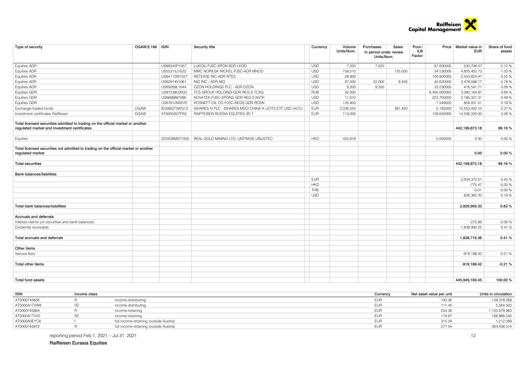

| Type of security                                                                                                                | OGAW/§ 166   ISIN |              | Security title                                            | Currency   | Volume<br>Units/Nom. | Purchases<br>Sales<br>In period under review<br>Units/Nom. | Pool-/<br>ILB<br>Factor | Price   Market value in<br>EUR | Share of fund<br>assets |
|---------------------------------------------------------------------------------------------------------------------------------|-------------------|--------------|-----------------------------------------------------------|------------|----------------------|------------------------------------------------------------|-------------------------|--------------------------------|-------------------------|
| <b>Equities ADR</b>                                                                                                             |                   | US69343P1057 | LUKOIL PJSC-SPON ADR LKOD                                 | <b>USD</b> | 7,200                | 7,200                                                      | 87.600000               | 530,708.07                     | 0.12%                   |
| <b>Equities ADR</b>                                                                                                             |                   | US55315J1025 | MMC NORILSK NICKEL PJSC-ADR MNOD                          | <b>USD</b> | 158,510              | 155,000                                                    | 34.530000               | 4,605,452.73                   | 1.03%                   |
| <b>Equities ADR</b>                                                                                                             |                   | US64110W1027 | NETEASE INC-ADR NTES                                      | <b>USD</b> | 28,900               |                                                            | 100.900000              | 2,453,624.47                   | 0.55%                   |
| <b>Equities ADR</b>                                                                                                             |                   | US62914V1061 | NIO INC - ADR NIO                                         | <b>USD</b> | 97,000               | 22,000<br>8,400                                            | 42.620000               | 3,478,598.17                   | 0.78%                   |
| <b>Equities ADR</b>                                                                                                             |                   | US69269L1044 | OZON HOLDINGS PLC - ADR OZON                              | <b>USD</b> | 9,300                | 9,300                                                      | 53.230000               | 416,541.71                     | 0.09%                   |
| <b>Equities GDR</b>                                                                                                             |                   | US87238U2033 | TCS GROUP HOLDING-GDR REG S TCSG                          | <b>RUB</b> | 42,000               |                                                            | 6,400.000000            | 3,090,164.87                   | 0.69%                   |
| Equities GDR                                                                                                                    |                   | US6698881090 | NOVATEK PJSC-SPONS GDR REG S NVTK                         | <b>USD</b> | 11,610               |                                                            | 223.700000              | 2,185,331.31                   | 0.49%                   |
| <b>Equities GDR</b>                                                                                                             |                   | US67812M2070 | ROSNEFT OIL CO PJSC-REGS GDR ROSN                         | <b>USD</b> | 135,400              |                                                            | 7.540000                | 859,031.51                     | 0.19%                   |
| Exchange-traded-funds                                                                                                           | <b>OGAW</b>       | IE00BQT3WG13 | ISHARES IV PLC - ISHARES MSCI CHINA A UCITS ETF USD (ACC) | <b>EUR</b> | 2,036,550            | 381,450                                                    | 5.182000                | 10,553,402.10                  | 2.37%                   |
| Investment certificates Raiffeisen                                                                                              | <b>OGAW</b>       | AT0000A07FR3 | RAIFFEISEN RUSSIA EQUITIES (R) T                          | <b>EUR</b> | 113,000              |                                                            | 128.640000              | 14,536,320.00                  | 3.26%                   |
| Total licensed securities admitted to trading on the official market or another<br>regulated market and investment certificates |                   |              |                                                           |            |                      |                                                            |                         | 442,199,673.18                 | 99.16%                  |
| Equities                                                                                                                        |                   |              | QOXDBM071935   REAL GOLD MINING LTD.; UNTRADE UNLISTED    | <b>HKD</b> | 425,918              |                                                            | 0.000000                | 0.00                           | 0.00%                   |
| Total licensed securities not admitted to trading on the official market or another<br>regulated market                         |                   |              |                                                           |            |                      |                                                            |                         | 0.00                           | 0.00%                   |
| <b>Total securities</b>                                                                                                         |                   |              |                                                           |            |                      |                                                            |                         | 442,199,673.18                 | 99.16%                  |
| <b>Bank balances/liabilities</b>                                                                                                |                   |              |                                                           |            |                      |                                                            |                         |                                |                         |
|                                                                                                                                 |                   |              |                                                           | <b>EUR</b> |                      |                                                            |                         | 2,004,372.51                   | 0.45%                   |
|                                                                                                                                 |                   |              |                                                           | <b>HKD</b> |                      |                                                            |                         | $-775.47$                      | $-0.00%$                |
|                                                                                                                                 |                   |              |                                                           | THB        |                      |                                                            |                         | $-0.01$                        | $-0.00%$                |
|                                                                                                                                 |                   |              |                                                           | <b>USD</b> |                      |                                                            |                         | 826.362.30                     | 0.19%                   |
| Total bank balances/liabilities                                                                                                 |                   |              |                                                           |            |                      |                                                            |                         | 2,829,959.33                   | 0.63%                   |
| <b>Accruals and deferrals</b>                                                                                                   |                   |              |                                                           |            |                      |                                                            |                         |                                |                         |
| Interest claims (on securities and bank balances)                                                                               |                   |              |                                                           |            |                      |                                                            |                         | $-275.89$                      | $-0.00%$                |
| Dividends receivable                                                                                                            |                   |              |                                                           |            |                      |                                                            |                         | 1.838.992.25                   | 0.41%                   |
| Total accruals and deferrals                                                                                                    |                   |              |                                                           |            |                      |                                                            |                         | 1,838,716.36                   | 0.41%                   |
| Other items                                                                                                                     |                   |              |                                                           |            |                      |                                                            |                         |                                |                         |
| Various fees                                                                                                                    |                   |              |                                                           |            |                      |                                                            |                         | $-919.188.42$                  | $-0.21%$                |
| Total other items                                                                                                               |                   |              |                                                           |            |                      |                                                            |                         | $-919,188.42$                  | $-0.21%$                |
| <b>Total fund assets</b>                                                                                                        |                   |              |                                                           |            |                      |                                                            |                         | 445.949.160.45                 | 100.00%                 |

| <b>ISIN</b>  | Income class |                                         | Currency   | Net asset value per unit | Units in circulation |
|--------------|--------------|-----------------------------------------|------------|--------------------------|----------------------|
| AT0000745856 |              | income-distributina                     | <b>EUF</b> | 193.26                   | 159.378.268          |
| AT0000A1TVW8 |              | income-distributing                     | EUF        | 111.45                   | 5,564.302            |
| AT0000745864 |              | income-retaining                        | <b>EUF</b> | 254.36                   | 1,150,879.983        |
| AT0000A1TW0  |              | income-retaining                        | <b>EUF</b> | 119.87                   | 168,966.345          |
| AT0000A0EYC8 |              | full income-retaining (outside Austria) | EUF        | 315.29                   | 1,212.099            |
| AT0000745872 |              | full income-retaining (outside Austria) | <b>EUF</b> | 277.54                   | 364,438.314          |

reporting period Feb 1, 2021 – Jul 31, 2021 12

Raiffeisen Eurasia Equities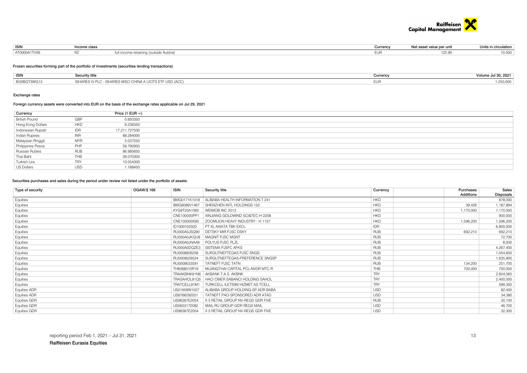

| <b>ISIN</b>  | Income class |                               | Currency | Net asset value per unit | Units in circulation |
|--------------|--------------|-------------------------------|----------|--------------------------|----------------------|
| AT0000A1TVX6 |              | side Austria<br>vo rotoinina. |          | `، ف∆ ا                  | 0.000                |

#### Frozen securities forming part of the portfolio of investments (securities lending transactions)

| <b>ISIN</b>  | ecurity titleذ                                            | Currency | ال ج Jul 30, 2021 |
|--------------|-----------------------------------------------------------|----------|-------------------|
| IF00BOT3WG13 | ISHARES IV PLC - ISHARES MSCI CHINA A UCITS ETF USD (ACC) |          | ,250,000          |

#### Exchange rates

#### Foreign currency assets were converted into EUR on the basis of the exchange rates applicable on Jul 29, 2021

| Currency             |            | Price (1 EUR $=$ ) |
|----------------------|------------|--------------------|
| <b>British Pound</b> | GBP        | 0.850350           |
| Hong Kong Dollars    | <b>HKD</b> | 9.236350           |
| Indonesian Rupiah    | <b>IDR</b> | 17,211.727500      |
| Indian Rupees        | <b>INR</b> | 88.284000          |
| Malaysian Ringgit    | MYR        | 5.037250           |
| Philippines Pesos    | PHP        | 59.790950          |
| Russian Rubles       | <b>RUB</b> | 86.985650          |
| Thai Baht            | THB        | 39.070300          |
| Turkish Lira         | <b>TRY</b> | 10.054300          |
| US Dollars           | <b>USD</b> | 1.188450           |

### Securities purchases and sales during the period under review not listed under the portfolio of assets:

| Type of security    | OGAW/§ 166<br><b>ISIN</b> | Security title                    | Currency   | Purchases<br>Additions | Sales<br>Disposals |
|---------------------|---------------------------|-----------------------------------|------------|------------------------|--------------------|
| Equities            | BMG0171K1018              | ALIBABA HEALTH INFORMATION T 241  | <b>HKD</b> |                        | 878,000            |
| Equities            | BMG8086V1467              | SHENZHEN INTL HOLDINGS 152        | <b>HKD</b> | 39,426                 | 1,187,894          |
| Equities            | KYG9T20A1060              | WEIMOB INC 2013                   | <b>HKD</b> | 1,170,000              | 1,170,000          |
| Equities            | CNE100000PP1              | XINJIANG GOLDWIND SCI&TEC-H 2208  | <b>HKD</b> |                        | 900,000            |
| Equities            | CNE100000X85              | ZOOMLION HEAVY INDUSTRY - H 1157  | <b>HKD</b> | 1,596,200              | 1,596,200          |
| Equities            | ID1000102502              | PT XL AXIATA TBK EXCL             | <b>IDR</b> |                        | 6,800,000          |
| Equities            | RU000A0JSQ90              | DETSKY MIR PJSC DSKY              | <b>RUB</b> | 692,210                | 692,210            |
| Equities            | RU000A0JKQU8              | MAGNIT PJSC MGNT                  | <b>RUB</b> |                        | 72,700             |
| Equities            | RU000A0JNAA8              | POLYUS PJSC PLZL                  | <b>RUB</b> |                        | 8,000              |
| Equities            | RU000A0DQZE3              | SISTEMA PJSFC AFKS                | <b>RUB</b> |                        | 4,267,400          |
| Equities            | RU0008926258              | SURGUTNEFTEGAS PJSC SNGS          | <b>RUB</b> |                        | 1,054,600          |
| Equities            | RU0009029524              | SURGUTNEFTEGAS-PREFERENCE SNGSP   | <b>RUB</b> |                        | 1,635,800          |
| Equities            | RU0009033591              | TATNEFT PJSC TATN                 | <b>RUB</b> | 134,200                | 251,700            |
| Equities            | TH6068010R19              | MUANGTHAI CAPITAL PCL-NVDR MTC-R  | <b>THB</b> | 700,000                | 700,000            |
| Equities            | TRAAKBNK91N6              | AKBANK T.A.S. AKBNK               | <b>TRY</b> |                        | 2,604,560          |
| Equities            | TRASAHOL91Q5              | HACI OMER SABANCI HOLDING SAHOL   | <b>TRY</b> |                        | 2,400,000          |
| Equities            | TRATCELL91M1              | TURKCELL ILETISIM HIZMET AS TCELL | <b>TRY</b> |                        | 599,300            |
| <b>Equities ADR</b> | US01609W1027              | ALIBABA GROUP HOLDING-SP ADR BABA | <b>USD</b> |                        | 82,400             |
| <b>Equities ADR</b> | US8766292051              | TATNEFT PAO-SPONSORED ADR ATAD    | <b>USD</b> |                        | 34,380             |
| <b>Equities GDR</b> | US98387E2054              | X 5 RETAIL GROUP NV-REGS GDR FIVE | <b>RUB</b> |                        | 30,100             |
| Equities GDR        | US5603172082              | MAIL.RU GROUP-GDR REGS MAIL       | <b>USD</b> |                        | 46,700             |
| Equities GDR        | US98387E2054              | X 5 RETAIL GROUP NV-REGS GDR FIVE | <b>USD</b> |                        | 32,300             |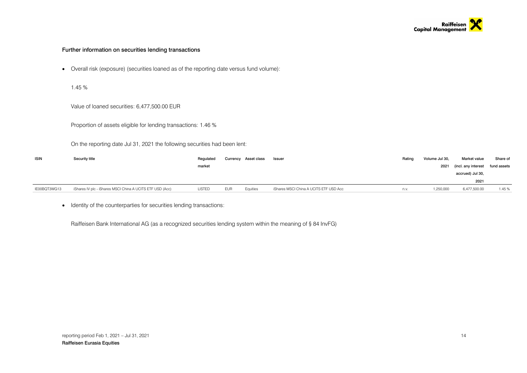

#### Further information on securities lending transactions

• Overall risk (exposure) (securities loaned as of the reporting date versus fund volume):

1.45 %

Value of loaned securities: 6,477,500.00 EUR

Proportion of assets eligible for lending transactions: 1.46 %

On the reporting date Jul 31, 2021 the following securities had been lent:

| <b>ISIN</b>  | Security title                                            | Regulated |            | Currency Asset class | Issuer                                 | Rating | Volume Jul 30, | Market value                    | Share of |
|--------------|-----------------------------------------------------------|-----------|------------|----------------------|----------------------------------------|--------|----------------|---------------------------------|----------|
|              |                                                           | market    |            |                      |                                        |        | 2021           | (incl. any interest fund assets |          |
|              |                                                           |           |            |                      |                                        |        |                | accrued) Jul 30,                |          |
|              |                                                           |           |            |                      |                                        |        |                | 2021                            |          |
| IE00BQT3WG13 | iShares IV plc - iShares MSCI China A UCITS ETF USD (Acc) | LISTED    | <b>EUR</b> | Equities             | iShares MSCI China A UCITS ETF USD Acc | n.v.   | 1.250.000      | 6,477,500.00                    | 1.45%    |

• Identity of the counterparties for securities lending transactions:

Raiffeisen Bank International AG (as a recognized securities lending system within the meaning of § 84 InvFG)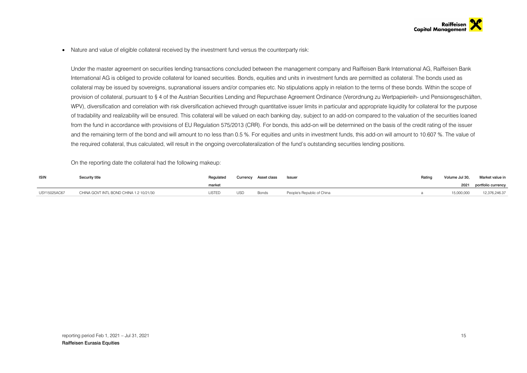• Nature and value of eligible collateral received by the investment fund versus the counterparty risk:

Under the master agreement on securities lending transactions concluded between the management company and Raiffeisen Bank International AG, Raiffeisen Bank International AG is obliged to provide collateral for loaned securities. Bonds, equities and units in investment funds are permitted as collateral. The bonds used as collateral may be issued by sovereigns, supranational issuers and/or companies etc. No stipulations apply in relation to the terms of these bonds. Within the scope of provision of collateral, pursuant to § 4 of the Austrian Securities Lending and Repurchase Agreement Ordinance (Verordnung zu Wertpapierleih- und Pensionsgeschäften, WPV), diversification and correlation with risk diversification achieved through quantitative issuer limits in particular and appropriate liquidity for collateral for the purpose of tradability and realizability will be ensured. This collateral will be valued on each banking day, subject to an add-on compared to the valuation of the securities loaned from the fund in accordance with provisions of EU Regulation 575/2013 (CRR). For bonds, this add-on will be determined on the basis of the credit rating of the issuer and the remaining term of the bond and will amount to no less than 0.5 %. For equities and units in investment funds, this add-on will amount to 10.607 %. The value of the required collateral, thus calculated, will result in the ongoing overcollateralization of the fund's outstanding securities lending positions.

On the reporting date the collateral had the following makeup:

| <b>ISIN</b>  | Security title                          |        |            | Currency Asset class | Issuer                     | Rating | Volume Jul 30, | Market value in         |
|--------------|-----------------------------------------|--------|------------|----------------------|----------------------------|--------|----------------|-------------------------|
|              |                                         | market |            |                      |                            |        |                | 2021 portfolio currency |
| USY15025AC67 | CHINA GOVT INTL BOND CHINA 1.2 10/21/30 | LISTED | <b>USD</b> | Bonds                | People's Republic of China |        | 15,000,000     | 12,376,246.37           |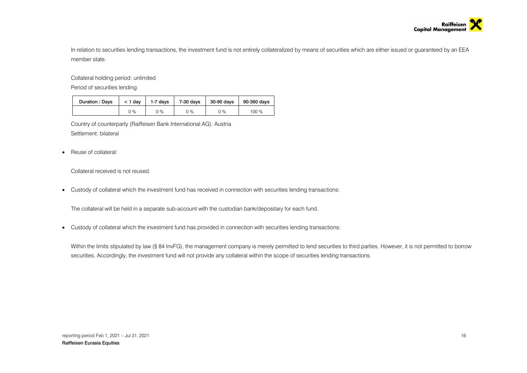

In relation to securities lending transactions, the investment fund is not entirely collateralized by means of securities which are either issued or guaranteed by an EEA member state.

Collateral holding period: unlimited

Period of securities lending:

| Duration / Davs | $<$ 1 dav | 1-7 davs | 7-30 davs | 30-90 davs | 90-360 days |  |
|-----------------|-----------|----------|-----------|------------|-------------|--|
|                 | 0 %       | ገ %      | 0 %       | 0 %        | 100 %       |  |

Country of counterparty (Raiffeisen Bank International AG): Austria Settlement: bilateral

• Reuse of collateral:

Collateral received is not reused.

• Custody of collateral which the investment fund has received in connection with securities lending transactions:

The collateral will be held in a separate sub-account with the custodian bank/depositary for each fund.

• Custody of collateral which the investment fund has provided in connection with securities lending transactions:

Within the limits stipulated by law (§ 84 InvFG), the management company is merely permitted to lend securities to third parties. However, it is not permitted to borrow securities. Accordingly, the investment fund will not provide any collateral within the scope of securities lending transactions.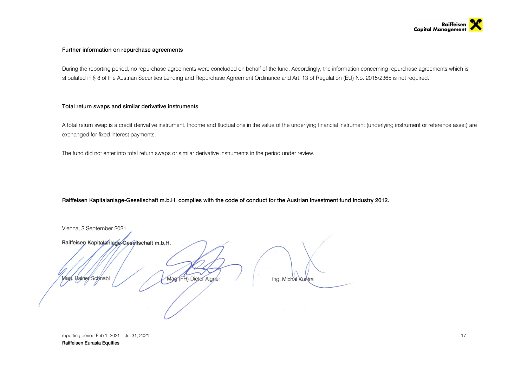

#### Further information on repurchase agreements

During the reporting period, no repurchase agreements were concluded on behalf of the fund. Accordingly, the information concerning repurchase agreements which is stipulated in § 8 of the Austrian Securities Lending and Repurchase Agreement Ordinance and Art. 13 of Regulation (EU) No. 2015/2365 is not required.

#### Total return swaps and similar derivative instruments

A total return swap is a credit derivative instrument. Income and fluctuations in the value of the underlying financial instrument (underlying instrument or reference asset) are exchanged for fixed interest payments.

The fund did not enter into total return swaps or similar derivative instruments in the period under review.

Raiffeisen Kapitalanlage-Gesellschaft m.b.H. complies with the code of conduct for the Austrian investment fund industry 2012.

Vienna, 3 September 2021Raiffeisen Kapitalanlage-Gesellschaft m.b.H. Rainer Schnabl Mag. (FH) Dieter Aigner Aad Ing. Michal Kustra